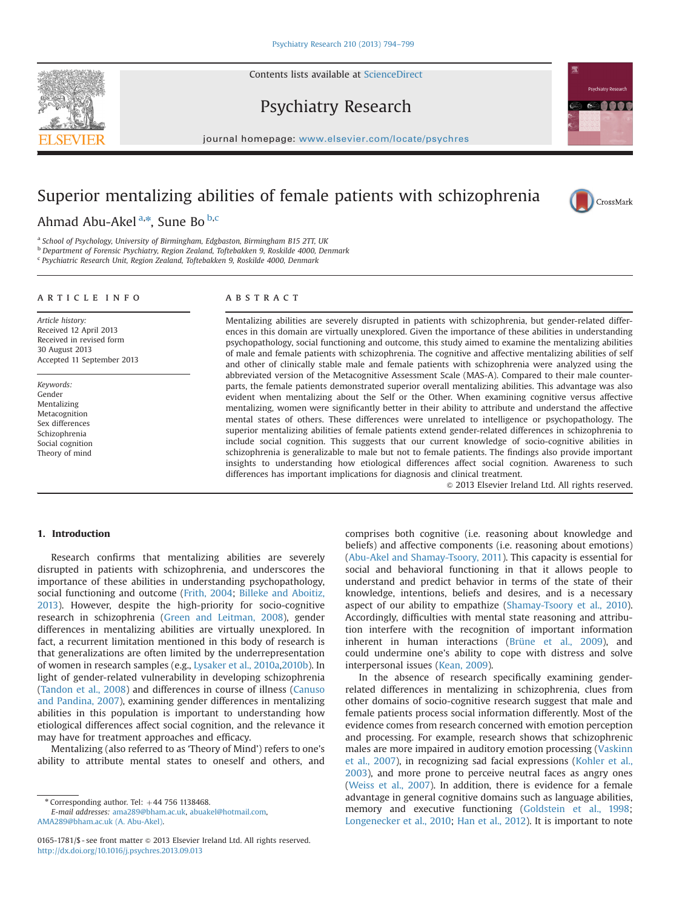Contents lists available at [ScienceDirect](www.sciencedirect.com/science/journal/01651781)



Psychiatry Research



CrossMark

journal homepage: <www.elsevier.com/locate/psychres>

## Superior mentalizing abilities of female patients with schizophrenia

Ahmad Abu-Akel<sup>a,\*</sup>, Sune Bo <sup>b,c</sup>

<sup>a</sup> School of Psychology, University of Birmingham, Edgbaston, Birmingham B15 2TT, UK

b Department of Forensic Psychiatry, Region Zealand, Toftebakken 9, Roskilde 4000, Denmark

<sup>c</sup> Psychiatric Research Unit, Region Zealand, Toftebakken 9, Roskilde 4000, Denmark

### article info

Accepted 11 September 2013

Article history: Received 12 April 2013 Received in revised form 30 August 2013

Keywords: Gender Mentalizing Metacognition Sex differences Schizophrenia Social cognition Theory of mind

ABSTRACT

Mentalizing abilities are severely disrupted in patients with schizophrenia, but gender-related differences in this domain are virtually unexplored. Given the importance of these abilities in understanding psychopathology, social functioning and outcome, this study aimed to examine the mentalizing abilities of male and female patients with schizophrenia. The cognitive and affective mentalizing abilities of self and other of clinically stable male and female patients with schizophrenia were analyzed using the abbreviated version of the Metacognitive Assessment Scale (MAS-A). Compared to their male counterparts, the female patients demonstrated superior overall mentalizing abilities. This advantage was also evident when mentalizing about the Self or the Other. When examining cognitive versus affective mentalizing, women were significantly better in their ability to attribute and understand the affective mental states of others. These differences were unrelated to intelligence or psychopathology. The superior mentalizing abilities of female patients extend gender-related differences in schizophrenia to include social cognition. This suggests that our current knowledge of socio-cognitive abilities in schizophrenia is generalizable to male but not to female patients. The findings also provide important insights to understanding how etiological differences affect social cognition. Awareness to such differences has important implications for diagnosis and clinical treatment.

 $\odot$  2013 Elsevier Ireland Ltd. All rights reserved.

## 1. Introduction

Research confirms that mentalizing abilities are severely disrupted in patients with schizophrenia, and underscores the importance of these abilities in understanding psychopathology, social functioning and outcome (Frith, 2004; Billeke and Aboitiz, 2013). However, despite the high-priority for socio-cognitive research in schizophrenia (Green and Leitman, 2008), gender differences in mentalizing abilities are virtually unexplored. In fact, a recurrent limitation mentioned in this body of research is that generalizations are often limited by the underrepresentation of women in research samples (e.g., Lysaker et al., 2010a,2010b). In light of gender-related vulnerability in developing schizophrenia (Tandon et al., 2008) and differences in course of illness (Canuso and Pandina, 2007), examining gender differences in mentalizing abilities in this population is important to understanding how etiological differences affect social cognition, and the relevance it may have for treatment approaches and efficacy.

Mentalizing (also referred to as 'Theory of Mind') refers to one's ability to attribute mental states to oneself and others, and

E-mail addresses: [ama289@bham.ac.uk](mailto:ama289@bham.ac.uk), [abuakel@hotmail.com](mailto:abuakel@hotmail.com), [AMA289@bham.ac.uk \(A. Abu-Akel\).](mailto:AMA289@bham.ac.uk)

comprises both cognitive (i.e. reasoning about knowledge and beliefs) and affective components (i.e. reasoning about emotions) (Abu-Akel and Shamay-Tsoory, 2011). This capacity is essential for social and behavioral functioning in that it allows people to understand and predict behavior in terms of the state of their knowledge, intentions, beliefs and desires, and is a necessary aspect of our ability to empathize (Shamay-Tsoory et al., 2010). Accordingly, difficulties with mental state reasoning and attribution interfere with the recognition of important information inherent in human interactions (Brüne et al., 2009), and could undermine one's ability to cope with distress and solve interpersonal issues (Kean, 2009).

In the absence of research specifically examining genderrelated differences in mentalizing in schizophrenia, clues from other domains of socio-cognitive research suggest that male and female patients process social information differently. Most of the evidence comes from research concerned with emotion perception and processing. For example, research shows that schizophrenic males are more impaired in auditory emotion processing (Vaskinn et al., 2007), in recognizing sad facial expressions (Kohler et al., 2003), and more prone to perceive neutral faces as angry ones (Weiss et al., 2007). In addition, there is evidence for a female advantage in general cognitive domains such as language abilities, memory and executive functioning (Goldstein et al., 1998; Longenecker et al., 2010; Han et al., 2012). It is important to note

 $*$  Corresponding author. Tel:  $+44$  756 1138468.

<sup>0165-1781/\$ -</sup> see front matter @ 2013 Elsevier Ireland Ltd. All rights reserved. <http://dx.doi.org/10.1016/j.psychres.2013.09.013>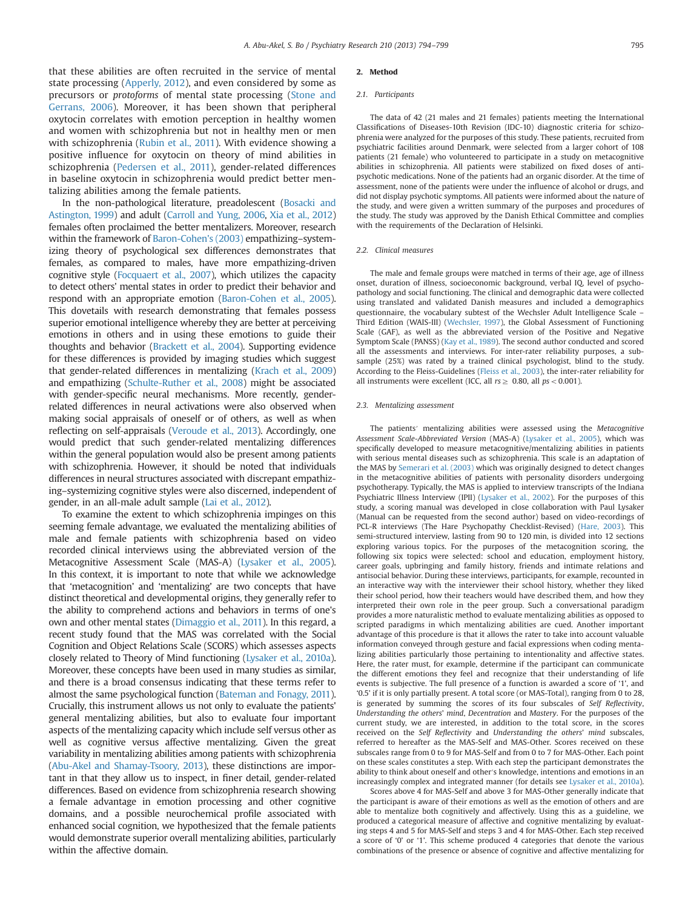that these abilities are often recruited in the service of mental state processing (Apperly, 2012), and even considered by some as precursors or protoforms of mental state processing (Stone and Gerrans, 2006). Moreover, it has been shown that peripheral oxytocin correlates with emotion perception in healthy women and women with schizophrenia but not in healthy men or men with schizophrenia (Rubin et al., 2011). With evidence showing a positive influence for oxytocin on theory of mind abilities in schizophrenia (Pedersen et al., 2011), gender-related differences in baseline oxytocin in schizophrenia would predict better mentalizing abilities among the female patients.

In the non-pathological literature, preadolescent (Bosacki and Astington, 1999) and adult (Carroll and Yung, 2006, Xia et al., 2012) females often proclaimed the better mentalizers. Moreover, research within the framework of Baron-Cohen's (2003) empathizing–systemizing theory of psychological sex differences demonstrates that females, as compared to males, have more empathizing-driven cognitive style (Focquaert et al., 2007), which utilizes the capacity to detect others' mental states in order to predict their behavior and respond with an appropriate emotion (Baron-Cohen et al., 2005). This dovetails with research demonstrating that females possess superior emotional intelligence whereby they are better at perceiving emotions in others and in using these emotions to guide their thoughts and behavior (Brackett et al., 2004). Supporting evidence for these differences is provided by imaging studies which suggest that gender-related differences in mentalizing (Krach et al., 2009) and empathizing (Schulte-Ruther et al., 2008) might be associated with gender-specific neural mechanisms. More recently, genderrelated differences in neural activations were also observed when making social appraisals of oneself or of others, as well as when reflecting on self-appraisals (Veroude et al., 2013). Accordingly, one would predict that such gender-related mentalizing differences within the general population would also be present among patients with schizophrenia. However, it should be noted that individuals differences in neural structures associated with discrepant empathizing–systemizing cognitive styles were also discerned, independent of gender, in an all-male adult sample (Lai et al., 2012).

To examine the extent to which schizophrenia impinges on this seeming female advantage, we evaluated the mentalizing abilities of male and female patients with schizophrenia based on video recorded clinical interviews using the abbreviated version of the Metacognitive Assessment Scale (MAS-A) (Lysaker et al., 2005). In this context, it is important to note that while we acknowledge that 'metacognition' and 'mentalizing' are two concepts that have distinct theoretical and developmental origins, they generally refer to the ability to comprehend actions and behaviors in terms of one's own and other mental states (Dimaggio et al., 2011). In this regard, a recent study found that the MAS was correlated with the Social Cognition and Object Relations Scale (SCORS) which assesses aspects closely related to Theory of Mind functioning (Lysaker et al., 2010a). Moreover, these concepts have been used in many studies as similar, and there is a broad consensus indicating that these terms refer to almost the same psychological function (Bateman and Fonagy, 2011). Crucially, this instrument allows us not only to evaluate the patients' general mentalizing abilities, but also to evaluate four important aspects of the mentalizing capacity which include self versus other as well as cognitive versus affective mentalizing. Given the great variability in mentalizing abilities among patients with schizophrenia (Abu-Akel and Shamay-Tsoory, 2013), these distinctions are important in that they allow us to inspect, in finer detail, gender-related differences. Based on evidence from schizophrenia research showing a female advantage in emotion processing and other cognitive domains, and a possible neurochemical profile associated with enhanced social cognition, we hypothesized that the female patients would demonstrate superior overall mentalizing abilities, particularly within the affective domain.

#### 2. Method

#### 2.1. Participants

The data of 42 (21 males and 21 females) patients meeting the International Classifications of Diseases-10th Revision (IDC-10) diagnostic criteria for schizophrenia were analyzed for the purposes of this study. These patients, recruited from psychiatric facilities around Denmark, were selected from a larger cohort of 108 patients (21 female) who volunteered to participate in a study on metacognitive abilities in schizophrenia. All patients were stabilized on fixed doses of antipsychotic medications. None of the patients had an organic disorder. At the time of assessment, none of the patients were under the influence of alcohol or drugs, and did not display psychotic symptoms. All patients were informed about the nature of the study, and were given a written summary of the purposes and procedures of the study. The study was approved by the Danish Ethical Committee and complies with the requirements of the Declaration of Helsinki.

#### 2.2. Clinical measures

The male and female groups were matched in terms of their age, age of illness onset, duration of illness, socioeconomic background, verbal IQ, level of psychopathology and social functioning. The clinical and demographic data were collected using translated and validated Danish measures and included a demographics questionnaire, the vocabulary subtest of the Wechsler Adult Intelligence Scale – Third Edition (WAIS-III) (Wechsler, 1997), the Global Assessment of Functioning Scale (GAF), as well as the abbreviated version of the Positive and Negative Symptom Scale (PANSS) (Kay et al., 1989). The second author conducted and scored all the assessments and interviews. For inter-rater reliability purposes, a subsample (25%) was rated by a trained clinical psychologist, blind to the study. According to the Fleiss-Guidelines (Fleiss et al., 2003), the inter-rater reliability for all instruments were excellent (ICC, all  $rs \geq 0.80$ , all  $ps < 0.001$ ).

#### 2.3. Mentalizing assessment

The patients′ mentalizing abilities were assessed using the Metacognitive Assessment Scale-Abbreviated Version (MAS-A) (Lysaker et al., 2005), which was specifically developed to measure metacognitive/mentalizing abilities in patients with serious mental diseases such as schizophrenia. This scale is an adaptation of the MAS by Semerari et al. (2003) which was originally designed to detect changes in the metacognitive abilities of patients with personality disorders undergoing psychotherapy. Typically, the MAS is applied to interview transcripts of the Indiana Psychiatric Illness Interview (IPII) (Lysaker et al., 2002). For the purposes of this study, a scoring manual was developed in close collaboration with Paul Lysaker (Manual can be requested from the second author) based on video-recordings of PCL-R interviews (The Hare Psychopathy Checklist-Revised) (Hare, 2003). This semi-structured interview, lasting from 90 to 120 min, is divided into 12 sections exploring various topics. For the purposes of the metacognition scoring, the following six topics were selected: school and education, employment history, career goals, upbringing and family history, friends and intimate relations and antisocial behavior. During these interviews, participants, for example, recounted in an interactive way with the interviewer their school history, whether they liked their school period, how their teachers would have described them, and how they interpreted their own role in the peer group. Such a conversational paradigm provides a more naturalistic method to evaluate mentalizing abilities as opposed to scripted paradigms in which mentalizing abilities are cued. Another important advantage of this procedure is that it allows the rater to take into account valuable information conveyed through gesture and facial expressions when coding mentalizing abilities particularly those pertaining to intentionality and affective states. Here, the rater must, for example, determine if the participant can communicate the different emotions they feel and recognize that their understanding of life events is subjective. The full presence of a function is awarded a score of '1', and '0.5' if it is only partially present. A total score (or MAS-Total), ranging from 0 to 28, is generated by summing the scores of its four subscales of Self Reflectivity, Understanding the others' mind, Decentration and Mastery. For the purposes of the current study, we are interested, in addition to the total score, in the scores received on the Self Reflectivity and Understanding the others' mind subscales, referred to hereafter as the MAS-Self and MAS-Other. Scores received on these subscales range from 0 to 9 for MAS-Self and from 0 to 7 for MAS-Other. Each point on these scales constitutes a step. With each step the participant demonstrates the ability to think about oneself and other′s knowledge, intentions and emotions in an increasingly complex and integrated manner (for details see Lysaker et al., 2010a).

Scores above 4 for MAS-Self and above 3 for MAS-Other generally indicate that the participant is aware of their emotions as well as the emotion of others and are able to mentalize both cognitively and affectively. Using this as a guideline, we produced a categorical measure of affective and cognitive mentalizing by evaluating steps 4 and 5 for MAS-Self and steps 3 and 4 for MAS-Other. Each step received a score of '0' or '1'. This scheme produced 4 categories that denote the various combinations of the presence or absence of cognitive and affective mentalizing for